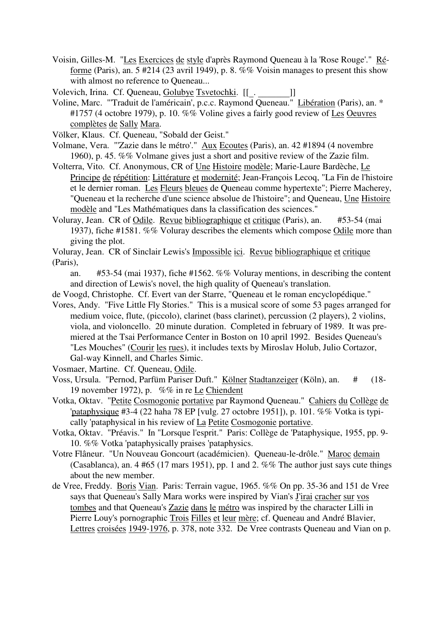- Voisin, Gilles-M. "Les Exercices de style d'après Raymond Queneau à la 'Rose Rouge'." Réforme (Paris), an. 5 #214 (23 avril 1949), p. 8. %% Voisin manages to present this show with almost no reference to Oueneau...
- Volevich, Irina. Cf. Queneau, Golubye Tsvetochki. [[\_. \_\_\_\_\_\_\_]]
- Voline, Marc. "'Traduit de l'américain', p.c.c. Raymond Queneau." Libération (Paris), an. \* #1757 (4 octobre 1979), p. 10. %% Voline gives a fairly good review of Les Oeuvres complètes de Sally Mara.
- Völker, Klaus. Cf. Queneau, "Sobald der Geist."
- Volmane, Vera. "'Zazie dans le métro'." Aux Ecoutes (Paris), an. 42 #1894 (4 novembre 1960), p. 45. %% Volmane gives just a short and positive review of the Zazie film.
- Volterra, Vito. Cf. Anonymous, CR of Une Histoire modèle; Marie-Laure Bardèche, Le Principe de répétition: Littérature et modernité; Jean-François Lecoq, "La Fin de l'histoire et le dernier roman. Les Fleurs bleues de Queneau comme hypertexte"; Pierre Macherey, "Queneau et la recherche d'une science absolue de l'histoire"; and Queneau, Une Histoire modèle and "Les Mathématiques dans la classification des sciences."
- Voluray, Jean. CR of Odile. Revue bibliographique et critique (Paris), an. #53-54 (mai 1937), fiche #1581. %% Voluray describes the elements which compose Odile more than giving the plot.
- Voluray, Jean. CR of Sinclair Lewis's Impossible ici. Revue bibliographique et critique (Paris),

an. #53-54 (mai 1937), fiche #1562. %% Voluray mentions, in describing the content and direction of Lewis's novel, the high quality of Queneau's translation.

- de Voogd, Christophe. Cf. Evert van der Starre, "Queneau et le roman encyclopédique."
- Vores, Andy. "Five Little Fly Stories." This is a musical score of some 53 pages arranged for medium voice, flute, (piccolo), clarinet (bass clarinet), percussion (2 players), 2 violins, viola, and violoncello. 20 minute duration. Completed in february of 1989. It was premiered at the Tsai Performance Center in Boston on 10 april 1992. Besides Queneau's "Les Mouches" (Courir les rues), it includes texts by Miroslav Holub, Julio Cortazor, Gal-way Kinnell, and Charles Simic.

Vosmaer, Martine. Cf. Queneau, Odile.

- Voss, Ursula. "Pernod, Parfüm Pariser Duft." Kölner Stadtanzeiger (Köln), an. # (18- 19 november 1972), p. %% in re Le Chiendent
- Votka, Oktav. "Petite Cosmogonie portative par Raymond Queneau." Cahiers du Collège de 'pataphysique #3-4 (22 haha 78 EP [vulg. 27 octobre 1951]), p. 101. %% Votka is typically 'pataphysical in his review of La Petite Cosmogonie portative.
- Votka, Oktav. "Préavis." In "Lorsque l'esprit." Paris: Collège de 'Pataphysique, 1955, pp. 9- 10. %% Votka 'pataphysically praises 'pataphysics.
- Votre Flâneur. "Un Nouveau Goncourt (académicien). Queneau-le-drôle." Maroc demain (Casablanca), an. 4 #65 (17 mars 1951), pp. 1 and 2. %% The author just says cute things about the new member.
- de Vree, Freddy. Boris Vian. Paris: Terrain vague, 1965. %% On pp. 35-36 and 151 de Vree says that Queneau's Sally Mara works were inspired by Vian's J'irai cracher sur vos tombes and that Queneau's Zazie dans le métro was inspired by the character Lilli in Pierre Louy's pornographic Trois Filles et leur mère; cf. Queneau and André Blavier, Lettres croisées 1949-1976, p. 378, note 332. De Vree contrasts Queneau and Vian on p.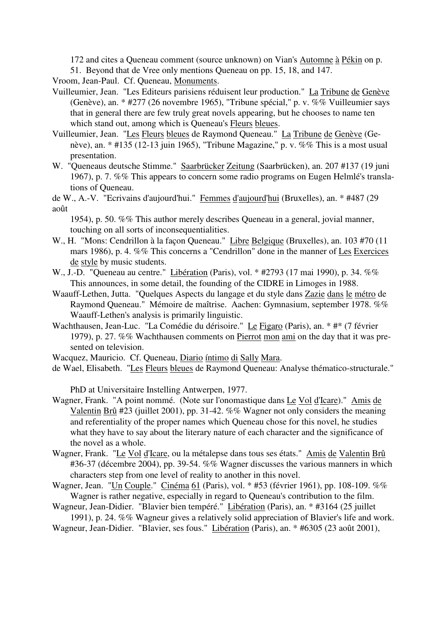172 and cites a Queneau comment (source unknown) on Vian's Automne à Pékin on p.

51. Beyond that de Vree only mentions Queneau on pp. 15, 18, and 147.

Vroom, Jean-Paul. Cf. Queneau, Monuments.

- Vuilleumier, Jean. "Les Editeurs parisiens réduisent leur production." La Tribune de Genève (Genève), an. \* #277 (26 novembre 1965), "Tribune spécial," p. v. %% Vuilleumier says that in general there are few truly great novels appearing, but he chooses to name ten which stand out, among which is Queneau's Fleurs bleues.
- Vuilleumier, Jean. "Les Fleurs bleues de Raymond Queneau." La Tribune de Genève (Genève), an. \* #135 (12-13 juin 1965), "Tribune Magazine," p. v. %% This is a most usual presentation.
- W. "Queneaus deutsche Stimme." Saarbrücker Zeitung (Saarbrücken), an. 207 #137 (19 juni 1967), p. 7. %% This appears to concern some radio programs on Eugen Helmlé's translations of Queneau.
- de W., A.-V. "Ecrivains d'aujourd'hui." Femmes d'aujourd'hui (Bruxelles), an. \* #487 (29 août

1954), p. 50. %% This author merely describes Queneau in a general, jovial manner, touching on all sorts of inconsequentialities.

- W., H. "Mons: Cendrillon à la façon Queneau." Libre Belgique (Bruxelles), an. 103 #70 (11 mars 1986), p. 4. %% This concerns a "Cendrillon" done in the manner of Les Exercices de style by music students.
- W., J.-D. "Queneau au centre." Libération (Paris), vol. \* #2793 (17 mai 1990), p. 34. %% This announces, in some detail, the founding of the CIDRE in Limoges in 1988.
- Waauff-Lethen, Jutta. "Quelques Aspects du langage et du style dans Zazie dans le métro de Raymond Queneau." Mémoire de maîtrise. Aachen: Gymnasium, september 1978. %% Waauff-Lethen's analysis is primarily linguistic.
- Wachthausen, Jean-Luc. "La Comédie du dérisoire." Le Figaro (Paris), an. \* #\* (7 février 1979), p. 27. %% Wachthausen comments on Pierrot mon ami on the day that it was presented on television.
- Wacquez, Mauricio. Cf. Queneau, Diario íntimo di Sally Mara.
- de Wael, Elisabeth. "Les Fleurs bleues de Raymond Queneau: Analyse thématico-structurale."

PhD at Universitaire Instelling Antwerpen, 1977.

- Wagner, Frank. "A point nommé. (Note sur l'onomastique dans Le Vol d'Icare)." Amis de Valentin Brû #23 (juillet 2001), pp. 31-42.  $\%$ % Wagner not only considers the meaning and referentiality of the proper names which Queneau chose for this novel, he studies what they have to say about the literary nature of each character and the significance of the novel as a whole.
- Wagner, Frank. "Le Vol d'Icare, ou la métalepse dans tous ses états." Amis de Valentin Brû #36-37 (décembre 2004), pp. 39-54. %% Wagner discusses the various manners in which characters step from one level of reality to another in this novel.
- Wagner, Jean. "Un Couple." Cinéma 61 (Paris), vol. \* #53 (février 1961), pp. 108-109. %% Wagner is rather negative, especially in regard to Queneau's contribution to the film.

Wagneur, Jean-Didier. "Blavier bien tempéré." Libération (Paris), an. \* #3164 (25 juillet 1991), p. 24. %% Wagneur gives a relatively solid appreciation of Blavier's life and work.

Wagneur, Jean-Didier. "Blavier, ses fous." Libération (Paris), an. \* #6305 (23 août 2001),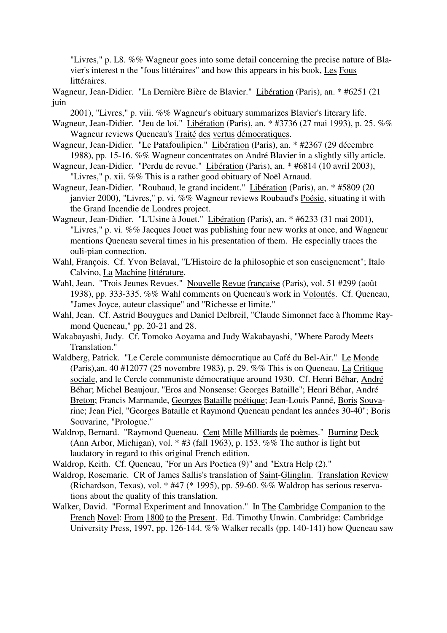"Livres," p. L8. %% Wagneur goes into some detail concerning the precise nature of Blavier's interest n the "fous littéraires" and how this appears in his book, Les Fous littéraires.

Wagneur, Jean-Didier. "La Dernière Bière de Blavier." Libération (Paris), an. \* #6251 (21 juin

2001), "Livres," p. viii. %% Wagneur's obituary summarizes Blavier's literary life.

- Wagneur, Jean-Didier. "Jeu de loi." Libération (Paris), an. \* #3736 (27 mai 1993), p. 25. %% Wagneur reviews Queneau's Traité des vertus démocratiques.
- Wagneur, Jean-Didier. "Le Patafoulipien." Libération (Paris), an. \* #2367 (29 décembre 1988), pp. 15-16. %% Wagneur concentrates on André Blavier in a slightly silly article.
- Wagneur, Jean-Didier. "Perdu de revue." Libération (Paris), an. \* #6814 (10 avril 2003), "Livres," p. xii. %% This is a rather good obituary of Noël Arnaud.
- Wagneur, Jean-Didier. "Roubaud, le grand incident." Libération (Paris), an. \* #5809 (20 janvier 2000), "Livres," p. vi. %% Wagneur reviews Roubaud's Poésie, situating it with the Grand Incendie de Londres project.
- Wagneur, Jean-Didier. "L'Usine à Jouet." Libération (Paris), an. \* #6233 (31 mai 2001), "Livres," p. vi. %% Jacques Jouet was publishing four new works at once, and Wagneur mentions Queneau several times in his presentation of them. He especially traces the ouli-pian connection.
- Wahl, François. Cf. Yvon Belaval, "L'Histoire de la philosophie et son enseignement"; Italo Calvino, La Machine littérature.
- Wahl, Jean. "Trois Jeunes Revues." Nouvelle Revue française (Paris), vol. 51 #299 (août 1938), pp. 333-335. %% Wahl comments on Queneau's work in Volontés. Cf. Queneau, "James Joyce, auteur classique" and "Richesse et limite."
- Wahl, Jean. Cf. Astrid Bouygues and Daniel Delbreil, "Claude Simonnet face à l'homme Raymond Queneau," pp. 20-21 and 28.
- Wakabayashi, Judy. Cf. Tomoko Aoyama and Judy Wakabayashi, "Where Parody Meets Translation."
- Waldberg, Patrick. "Le Cercle communiste démocratique au Café du Bel-Air." Le Monde (Paris),an. 40 #12077 (25 novembre 1983), p. 29. %% This is on Queneau, La Critique sociale, and le Cercle communiste démocratique around 1930. Cf. Henri Béhar, André Béhar; Michel Beaujour, "Eros and Nonsense: Georges Bataille"; Henri Béhar, André Breton; Francis Marmande, Georges Bataille poétique; Jean-Louis Panné, Boris Souvarine; Jean Piel, "Georges Bataille et Raymond Queneau pendant les années 30-40"; Boris Souvarine, "Prologue."
- Waldrop, Bernard. "Raymond Queneau. Cent Mille Milliards de poèmes." Burning Deck (Ann Arbor, Michigan), vol.  $*$  #3 (fall 1963), p. 153. %% The author is light but laudatory in regard to this original French edition.
- Waldrop, Keith. Cf. Queneau, "For un Ars Poetica (9)" and "Extra Help (2)."
- Waldrop, Rosemarie. CR of James Sallis's translation of Saint-Glinglin. Translation Review (Richardson, Texas), vol. \* #47 (\* 1995), pp. 59-60. %% Waldrop has serious reservations about the quality of this translation.
- Walker, David. "Formal Experiment and Innovation." In The Cambridge Companion to the French Novel: From 1800 to the Present. Ed. Timothy Unwin. Cambridge: Cambridge University Press, 1997, pp. 126-144. %% Walker recalls (pp. 140-141) how Queneau saw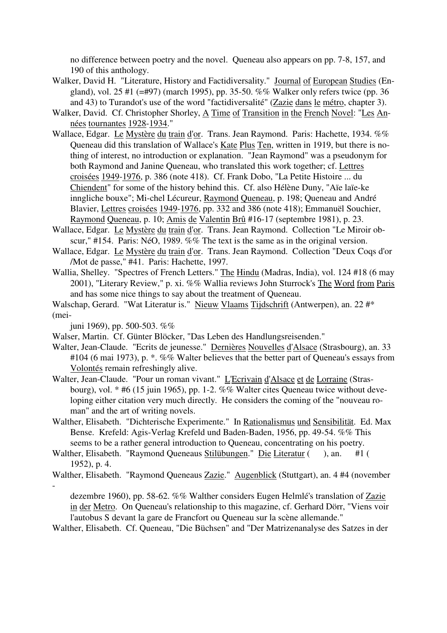no difference between poetry and the novel. Queneau also appears on pp. 7-8, 157, and 190 of this anthology.

- Walker, David H. "Literature, History and Factidiversality." Journal of European Studies (England), vol. 25 #1 (=#97) (march 1995), pp. 35-50. %% Walker only refers twice (pp. 36 and 43) to Turandot's use of the word "factidiversalité" (Zazie dans le métro, chapter 3).
- Walker, David. Cf. Christopher Shorley, A Time of Transition in the French Novel: "Les Années tournantes 1928-1934."
- Wallace, Edgar. Le Mystère du train d'or. Trans. Jean Raymond. Paris: Hachette, 1934. %% Queneau did this translation of Wallace's Kate Plus Ten, written in 1919, but there is nothing of interest, no introduction or explanation. "Jean Raymond" was a pseudonym for both Raymond and Janine Queneau, who translated this work together; cf. Lettres croisées 1949-1976, p. 386 (note 418). Cf. Frank Dobo, "La Petite Histoire ... du Chiendent" for some of the history behind this. Cf. also Hélène Duny, "Aïe laïe-ke inngliche bouxe"; Mi-chel Lécureur, Raymond Queneau, p. 198; Queneau and André Blavier, Lettres croisées 1949-1976, pp. 332 and 386 (note 418); Emmanuël Souchier, Raymond Queneau, p. 10; Amis de Valentin Brû #16-17 (septembre 1981), p. 23.
- Wallace, Edgar. Le Mystère du train d'or. Trans. Jean Raymond. Collection "Le Miroir obscur," #154. Paris: NéO, 1989. %% The text is the same as in the original version.
- Wallace, Edgar. Le Mystère du train d'or. Trans. Jean Raymond. Collection "Deux Coqs d'or /Mot de passe," #41. Paris: Hachette, 1997.
- Wallia, Shelley. "Spectres of French Letters." The Hindu (Madras, India), vol. 124 #18 (6 may 2001), "Literary Review," p. xi. %% Wallia reviews John Sturrock's The Word from Paris and has some nice things to say about the treatment of Queneau.
- Walschap, Gerard. "Wat Literatur is." Nieuw Vlaams Tijdschrift (Antwerpen), an. 22 #\* (mei-

juni 1969), pp. 500-503. %%

- Walser, Martin. Cf. Günter Blöcker, "Das Leben des Handlungsreisenden."
- Walter, Jean-Claude. "Ecrits de jeunesse." Dernières Nouvelles d'Alsace (Strasbourg), an. 33 #104 (6 mai 1973), p.  $\cdot$ , %% Walter believes that the better part of Queneau's essays from Volontés remain refreshingly alive.
- Walter, Jean-Claude. "Pour un roman vivant." L'Ecrivain d'Alsace et de Lorraine (Strasbourg), vol. \* #6 (15 juin 1965), pp. 1-2. %% Walter cites Queneau twice without developing either citation very much directly. He considers the coming of the "nouveau roman" and the art of writing novels.
- Walther, Elisabeth. "Dichterische Experimente." In Rationalismus und Sensibilität. Ed. Max Bense. Krefeld: Agis-Verlag Krefeld und Baden-Baden, 1956, pp. 49-54. %% This seems to be a rather general introduction to Queneau, concentrating on his poetry.
- Walther, Elisabeth. "Raymond Queneaus Stilübungen." Die Literatur (), an. #1 ( 1952), p. 4.
- Walther, Elisabeth. "Raymond Queneaus Zazie." Augenblick (Stuttgart), an. 4 #4 (november -

dezembre 1960), pp. 58-62. %% Walther considers Eugen Helmlé's translation of Zazie in der Metro. On Queneau's relationship to this magazine, cf. Gerhard Dörr, "Viens voir l'autobus S devant la gare de Francfort ou Queneau sur la scène allemande."

Walther, Elisabeth. Cf. Queneau, "Die Büchsen" and "Der Matrizenanalyse des Satzes in der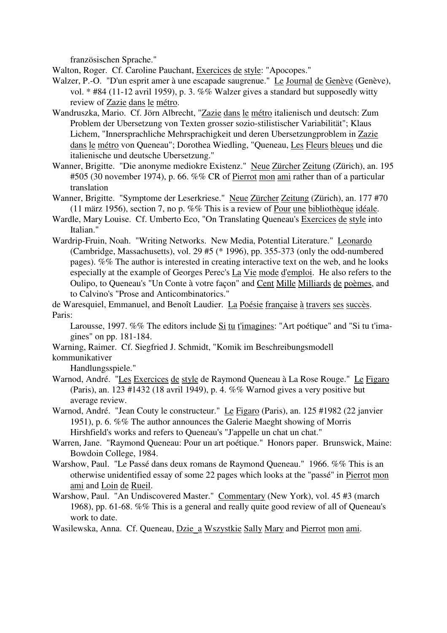französischen Sprache."

Walton, Roger. Cf. Caroline Pauchant, Exercices de style: "Apocopes."

Walzer, P.-O. "D'un esprit amer à une escapade saugrenue." Le Journal de Genève (Genève), vol. \* #84 (11-12 avril 1959), p. 3. %% Walzer gives a standard but supposedly witty review of Zazie dans le métro.

- Wandruszka, Mario. Cf. Jörn Albrecht, "Zazie dans le métro italienisch und deutsch: Zum Problem der Ubersetzung von Texten grosser sozio-stilistischer Variabilität"; Klaus Lichem, "Innersprachliche Mehrsprachigkeit und deren Ubersetzungproblem in Zazie dans le métro von Queneau"; Dorothea Wiedling, "Queneau, Les Fleurs bleues und die italienische und deutsche Ubersetzung."
- Wanner, Brigitte. "Die anonyme mediokre Existenz." Neue Zürcher Zeitung (Zürich), an. 195 #505 (30 november 1974), p. 66. %% CR of Pierrot mon ami rather than of a particular translation
- Wanner, Brigitte. "Symptome der Leserkriese." Neue Zürcher Zeitung (Zürich), an. 177 #70 (11 märz 1956), section 7, no p. %% This is a review of Pour une bibliothèque idéale.
- Wardle, Mary Louise. Cf. Umberto Eco, "On Translating Queneau's Exercices de style into Italian."
- Wardrip-Fruin, Noah. "Writing Networks. New Media, Potential Literature." Leonardo (Cambridge, Massachusetts), vol. 29 #5 (\* 1996), pp. 355-373 (only the odd-numbered pages). %% The author is interested in creating interactive text on the web, and he looks especially at the example of Georges Perec's La Vie mode d'emploi. He also refers to the Oulipo, to Queneau's "Un Conte à votre façon" and Cent Mille Milliards de poèmes, and to Calvino's "Prose and Anticombinatorics."

de Waresquiel, Emmanuel, and Benoît Laudier. La Poésie française à travers ses succès. Paris:

Larousse, 1997. %% The editors include Si tu t'imagines: "Art poétique" and "Si tu t'imagines" on pp. 181-184.

Warning, Raimer. Cf. Siegfried J. Schmidt, "Komik im Beschreibungsmodell kommunikativer

Handlungsspiele."

- Warnod, André. "Les Exercices de style de Raymond Queneau à La Rose Rouge." Le Figaro (Paris), an. 123 #1432 (18 avril 1949), p. 4. %% Warnod gives a very positive but average review.
- Warnod, André. "Jean Couty le constructeur." Le Figaro (Paris), an. 125 #1982 (22 janvier 1951), p. 6. %% The author announces the Galerie Maeght showing of Morris Hirshfield's works and refers to Queneau's "J'appelle un chat un chat."
- Warren, Jane. "Raymond Queneau: Pour un art poétique." Honors paper. Brunswick, Maine: Bowdoin College, 1984.
- Warshow, Paul. "Le Passé dans deux romans de Raymond Queneau." 1966. %% This is an otherwise unidentified essay of some 22 pages which looks at the "passé" in Pierrot mon ami and Loin de Rueil.
- Warshow, Paul. "An Undiscovered Master." Commentary (New York), vol. 45 #3 (march 1968), pp. 61-68. %% This is a general and really quite good review of all of Queneau's work to date.

Wasilewska, Anna. Cf. Queneau, Dzie\_a Wszystkie Sally Mary and Pierrot mon ami.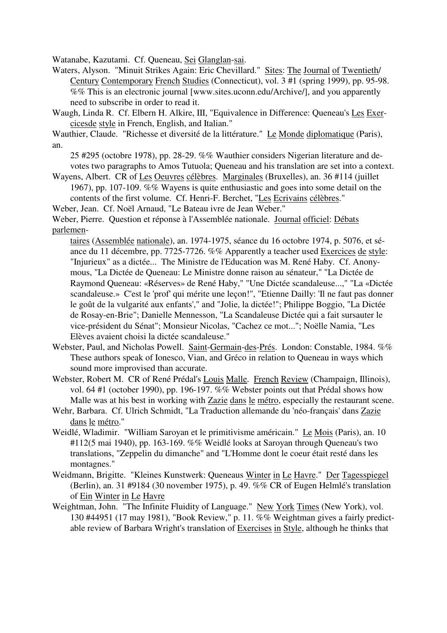Watanabe, Kazutami. Cf. Queneau, Sei Glanglan-sai.

- Waters, Alyson. "Minuit Strikes Again: Eric Chevillard." Sites: The Journal of Twentieth/ Century Contemporary French Studies (Connecticut), vol. 3 #1 (spring 1999), pp. 95-98. %% This is an electronic journal [www.sites.uconn.edu/Archive/], and you apparently need to subscribe in order to read it.
- Waugh, Linda R. Cf. Elbern H. Alkire, III, "Equivalence in Difference: Queneau's Les Exercicesde style in French, English, and Italian."
- Wauthier, Claude. "Richesse et diversité de la littérature." Le Monde diplomatique (Paris), an.
	- 25 #295 (octobre 1978), pp. 28-29. %% Wauthier considers Nigerian literature and devotes two paragraphs to Amos Tutuola; Queneau and his translation are set into a context.
- Wayens, Albert. CR of Les Oeuvres célèbres. Marginales (Bruxelles), an. 36 #114 (juillet 1967), pp. 107-109. %% Wayens is quite enthusiastic and goes into some detail on the contents of the first volume. Cf. Henri-F. Berchet, "Les Ecrivains célèbres."
- Weber, Jean. Cf. Noël Arnaud, "Le Bateau ivre de Jean Weber."

Weber, Pierre. Question et réponse à l'Assemblée nationale. Journal officiel: Débats parlemen-

- taires (Assemblée nationale), an. 1974-1975, séance du 16 octobre 1974, p. 5076, et séance du 11 décembre, pp. 7725-7726. %% Apparently a teacher used Exercices de style: "Injurieux" as a dictée... The Ministre de l'Education was M. René Haby. Cf. Anonymous, "La Dictée de Queneau: Le Ministre donne raison au sénateur," "La Dictée de Raymond Queneau: «Réserves» de René Haby," "Une Dictée scandaleuse...," "La «Dictée scandaleuse.» C'est le 'prof' qui mérite une leçon!", "Etienne Dailly: 'Il ne faut pas donner le goût de la vulgarité aux enfants'," and "Jolie, la dictée!"; Philippe Boggio, "La Dictée de Rosay-en-Brie"; Danielle Mennesson, "La Scandaleuse Dictée qui a fait sursauter le vice-président du Sénat"; Monsieur Nicolas, "Cachez ce mot..."; Noëlle Namia, "Les Elèves avaient choisi la dictée scandaleuse."
- Webster, Paul, and Nicholas Powell. Saint-Germain-des-Prés. London: Constable, 1984. %% These authors speak of Ionesco, Vian, and Gréco in relation to Queneau in ways which sound more improvised than accurate.
- Webster, Robert M. CR of René Prédal's Louis Malle. French Review (Champaign, Illinois), vol. 64 #1 (october 1990), pp. 196-197. %% Webster points out that Prédal shows how Malle was at his best in working with Zazie dans le métro, especially the restaurant scene.
- Wehr, Barbara. Cf. Ulrich Schmidt, "La Traduction allemande du 'néo-français' dans Zazie dans le métro."
- Weidlé, Wladimir. "William Saroyan et le primitivisme américain." Le Mois (Paris), an. 10 #112(5 mai 1940), pp. 163-169. %% Weidlé looks at Saroyan through Queneau's two translations, "Zeppelin du dimanche" and "L'Homme dont le coeur était resté dans les montagnes."
- Weidmann, Brigitte. "Kleines Kunstwerk: Queneaus Winter in Le Havre." Der Tagesspiegel (Berlin), an. 31 #9184 (30 november 1975), p. 49. %% CR of Eugen Helmlé's translation of Ein Winter in Le Havre
- Weightman, John. "The Infinite Fluidity of Language." New York Times (New York), vol. 130 #44951 (17 may 1981), "Book Review," p. 11. %% Weightman gives a fairly predictable review of Barbara Wright's translation of Exercises in Style, although he thinks that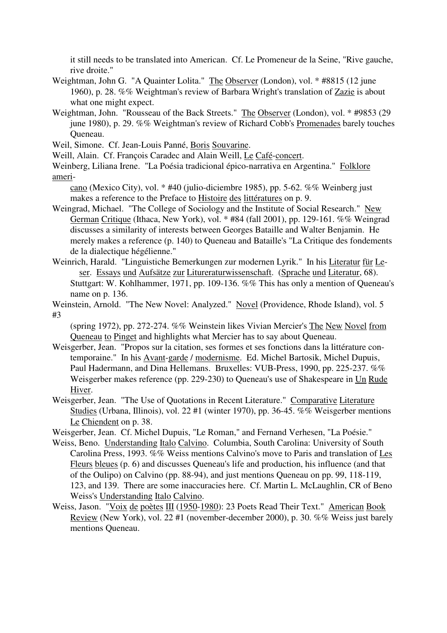it still needs to be translated into American. Cf. Le Promeneur de la Seine, "Rive gauche, rive droite."

- Weightman, John G. "A Quainter Lolita." The Observer (London), vol. \* #8815 (12 june 1960), p. 28. %% Weightman's review of Barbara Wright's translation of Zazie is about what one might expect.
- Weightman, John. "Rousseau of the Back Streets." The Observer (London), vol. \* #9853 (29 june 1980), p. 29. %% Weightman's review of Richard Cobb's Promenades barely touches Queneau.
- Weil, Simone. Cf. Jean-Louis Panné, Boris Souvarine.

Weill, Alain. Cf. François Caradec and Alain Weill, Le Café-concert.

Weinberg, Liliana Irene. "La Poésia tradicional épico-narrativa en Argentina." Folklore ameri-

cano (Mexico City), vol. \* #40 (julio-diciembre 1985), pp. 5-62. %% Weinberg just makes a reference to the Preface to Histoire des littératures on p. 9.

- Weingrad, Michael. "The College of Sociology and the Institute of Social Research." New German Critique (Ithaca, New York), vol. \* #84 (fall 2001), pp. 129-161. %% Weingrad discusses a similarity of interests between Georges Bataille and Walter Benjamin. He merely makes a reference (p. 140) to Queneau and Bataille's "La Critique des fondements de la dialectique hégélienne."
- Weinrich, Harald. "Linguistiche Bemerkungen zur modernen Lyrik." In his Literatur für Le ser. Essays und Aufsätze zur Litureraturwissenschaft. (Sprache und Literatur, 68). Stuttgart: W. Kohlhammer, 1971, pp. 109-136. %% This has only a mention of Queneau's name on p. 136.
- Weinstein, Arnold. "The New Novel: Analyzed." Novel (Providence, Rhode Island), vol. 5 #3

(spring 1972), pp. 272-274. %% Weinstein likes Vivian Mercier's The New Novel from Queneau to Pinget and highlights what Mercier has to say about Queneau.

- Weisgerber, Jean. "Propos sur la citation, ses formes et ses fonctions dans la littérature contemporaine." In his Avant-garde / modernisme. Ed. Michel Bartosik, Michel Dupuis, Paul Hadermann, and Dina Hellemans. Bruxelles: VUB-Press, 1990, pp. 225-237. %% Weisgerber makes reference (pp. 229-230) to Queneau's use of Shakespeare in Un Rude Hiver.
- Weisgerber, Jean. "The Use of Quotations in Recent Literature." Comparative Literature Studies (Urbana, Illinois), vol. 22 #1 (winter 1970), pp. 36-45. %% Weisgerber mentions Le Chiendent on p. 38.
- Weisgerber, Jean. Cf. Michel Dupuis, "Le Roman," and Fernand Verhesen, "La Poésie."
- Weiss, Beno. Understanding Italo Calvino. Columbia, South Carolina: University of South Carolina Press, 1993. %% Weiss mentions Calvino's move to Paris and translation of Les Fleurs bleues (p. 6) and discusses Queneau's life and production, his influence (and that of the Oulipo) on Calvino (pp. 88-94), and just mentions Queneau on pp. 99, 118-119, 123, and 139. There are some inaccuracies here. Cf. Martin L. McLaughlin, CR of Beno Weiss's Understanding Italo Calvino.
- Weiss, Jason. "Voix de poètes III (1950-1980): 23 Poets Read Their Text." American Book Review (New York), vol. 22 #1 (november-december 2000), p. 30. %% Weiss just barely mentions Queneau.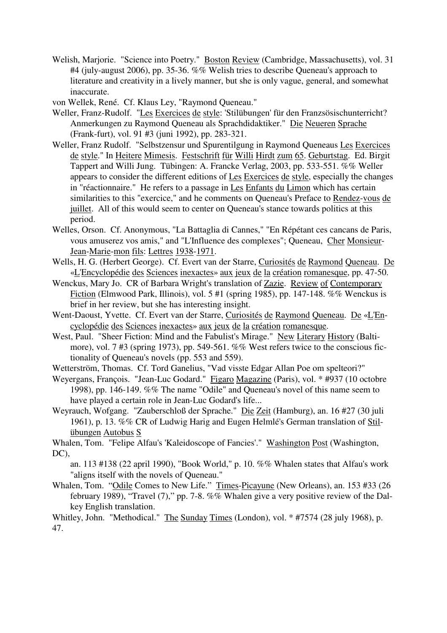- Welish, Marjorie. "Science into Poetry." **Boston Review (Cambridge, Massachusetts)**, vol. 31 #4 (july-august 2006), pp. 35-36. %% Welish tries to describe Queneau's approach to literature and creativity in a lively manner, but she is only vague, general, and somewhat inaccurate.
- von Wellek, René. Cf. Klaus Ley, "Raymond Queneau."
- Weller, Franz-Rudolf. "Les Exercices de style: 'Stilübungen' für den Franzsösischunterricht? Anmerkungen zu Raymond Queneau als Sprachdidaktiker." Die Neueren Sprache (Frank-furt), vol. 91 #3 (juni 1992), pp. 283-321.
- Weller, Franz Rudolf. "Selbstzensur und Spurentilgung in Raymond Queneaus Les Exercices de style." In Heitere Mimesis. Festschrift für Willi Hirdt zum 65. Geburtstag. Ed. Birgit Tappert and Willi Jung. Tübingen: A. Francke Verlag, 2003, pp. 533-551. %% Weller appears to consider the different editions of Les Exercices de style, especially the changes in "réactionnaire." He refers to a passage in Les Enfants du Limon which has certain similarities to this "exercice," and he comments on Queneau's Preface to Rendez-vous de juillet. All of this would seem to center on Queneau's stance towards politics at this period.
- Welles, Orson. Cf. Anonymous, "La Battaglia di Cannes," "En Répétant ces cancans de Paris, vous amuserez vos amis," and "L'Influence des complexes"; Queneau, Cher Monsieur-Jean-Marie-mon fils: Lettres 1938-1971.
- Wells, H. G. (Herbert George). Cf. Evert van der Starre, Curiosités de Raymond Queneau. De «L'Encyclopédie des Sciences inexactes» aux jeux de la création romanesque, pp. 47-50.
- Wenckus, Mary Jo. CR of Barbara Wright's translation of Zazie. Review of Contemporary Fiction (Elmwood Park, Illinois), vol. 5 #1 (spring 1985), pp. 147-148. %% Wenckus is brief in her review, but she has interesting insight.
- Went-Daoust, Yvette. Cf. Evert van der Starre, Curiosités de Raymond Queneau. De «L'Encyclopédie des Sciences inexactes» aux jeux de la création romanesque.
- West, Paul. "Sheer Fiction: Mind and the Fabulist's Mirage." New Literary History (Baltimore), vol. 7 #3 (spring 1973), pp. 549-561. %% West refers twice to the conscious fictionality of Queneau's novels (pp. 553 and 559).
- Wetterström, Thomas. Cf. Tord Ganelius, "Vad visste Edgar Allan Poe om spelteori?"
- Weyergans, François. "Jean-Luc Godard." Figaro Magazine (Paris), vol. \* #937 (10 octobre 1998), pp. 146-149. %% The name "Odile" and Queneau's novel of this name seem to have played a certain role in Jean-Luc Godard's life...
- Weyrauch, Wofgang. "Zauberschloß der Sprache." Die Zeit (Hamburg), an. 16 #27 (30 juli 1961), p. 13. %% CR of Ludwig Harig and Eugen Helmlé's German translation of Stilübungen Autobus S
- Whalen, Tom. "Felipe Alfau's 'Kaleidoscope of Fancies'." Washington Post (Washington, DC),

an. 113 #138 (22 april 1990), "Book World," p. 10. %% Whalen states that Alfau's work "aligns itself with the novels of Queneau."

Whalen, Tom. "Odile Comes to New Life." Times-Picayune (New Orleans), an. 153 #33 (26 february 1989), "Travel (7)," pp. 7-8. %% Whalen give a very positive review of the Dalkey English translation.

Whitley, John. "Methodical." The Sunday Times (London), vol. \* #7574 (28 july 1968), p. 47.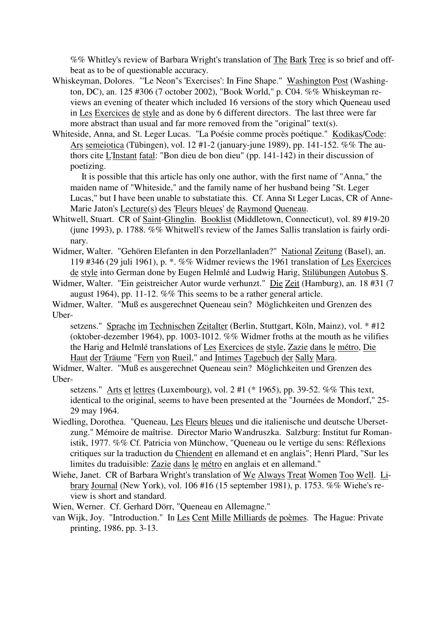%% Whitley's review of Barbara Wright's translation of The Bark Tree is so brief and offbeat as to be of questionable accuracy.

- Whiskeyman, Dolores. "'Le Neon''s 'Exercises': In Fine Shape." Washington Post (Washington, DC), an. 125 #306 (7 october 2002), "Book World," p. C04. %% Whiskeyman reviews an evening of theater which included 16 versions of the story which Queneau used in Les Exercices de style and as done by 6 different directors. The last three were far more abstract than usual and far more removed from the "original" text(s).
- Whiteside, Anna, and St. Leger Lucas. "La Poésie comme procès poétique." Kodikas/Code: Ars semeiotica (Tübingen), vol. 12 #1-2 (january-june 1989), pp. 141-152. %% The authors cite L'Instant fatal: "Bon dieu de bon dieu" (pp. 141-142) in their discussion of poetizing.

 It is possible that this article has only one author, with the first name of "Anna," the maiden name of "Whiteside," and the family name of her husband being "St. Leger Lucas," but I have been unable to substatiate this. Cf. Anna St Leger Lucas, CR of Anne-Marie Jaton's Lecture(s) des 'Fleurs bleues' de Raymond Queneau.

- Whitwell, Stuart. CR of Saint-Glinglin. Booklist (Middletown, Connecticut), vol. 89 #19-20 (june 1993), p. 1788. %% Whitwell's review of the James Sallis translation is fairly ordinary.
- Widmer, Walter. "Gehören Elefanten in den Porzellanladen?" National Zeitung (Basel), an. 119 #346 (29 juli 1961), p. \*. %% Widmer reviews the 1961 translation of Les Exercices de style into German done by Eugen Helmlé and Ludwig Harig, Stilübungen Autobus S.
- Widmer, Walter. "Ein geistreicher Autor wurde verhunzt." Die Zeit (Hamburg), an. 18 #31 (7 august 1964), pp. 11-12. %% This seems to be a rather general article.
- Widmer, Walter. "Muß es ausgerechnet Queneau sein? Möglichkeiten und Grenzen des Uber-

setzens." Sprache im Technischen Zeitalter (Berlin, Stuttgart, Köln, Mainz), vol. \* #12 (oktober-dezember 1964), pp. 1003-1012. %% Widmer froths at the mouth as he vilifies the Harig and Helmlé translations of Les Exercices de style, Zazie dans le métro, Die Haut der Träume "Fern von Rueil," and Intimes Tagebuch der Sally Mara.

Widmer, Walter. "Muß es ausgerechnet Queneau sein? Möglichkeiten und Grenzen des Uber-

setzens." Arts et lettres (Luxembourg), vol. 2 #1 (\* 1965), pp. 39-52. %% This text, identical to the original, seems to have been presented at the "Journées de Mondorf," 25- 29 may 1964.

- Wiedling, Dorothea. "Queneau, Les Fleurs bleues und die italienische und deutsche Ubersetzung." Mémoire de maîtrise. Director Mario Wandruszka. Salzburg: Institut fur Romanistik, 1977. %% Cf. Patricia von Münchow, "Queneau ou le vertige du sens: Réflexions critiques sur la traduction du Chiendent en allemand et en anglais"; Henri Plard, "Sur les limites du traduisible: Zazie dans le métro en anglais et en allemand."
- Wiehe, Janet. CR of Barbara Wright's translation of We Always Treat Women Too Well. Library Journal (New York), vol. 106 #16 (15 september 1981), p. 1753. %% Wiehe's review is short and standard.

Wien, Werner. Cf. Gerhard Dörr, "Queneau en Allemagne."

van Wijk, Joy. "Introduction." In Les Cent Mille Milliards de poèmes. The Hague: Private printing, 1986, pp. 3-13.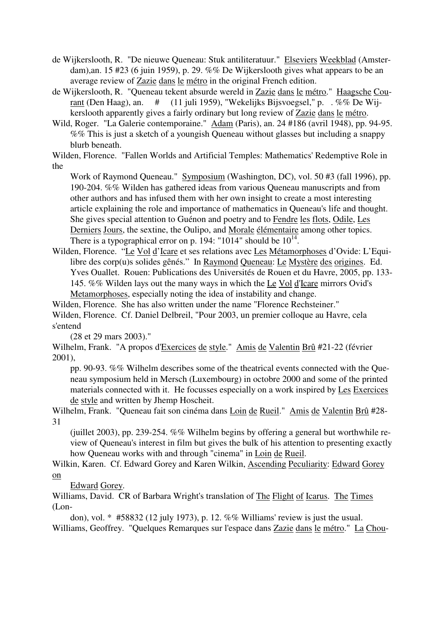- de Wijkerslooth, R. "De nieuwe Queneau: Stuk antiliteratuur." Elseviers Weekblad (Amsterdam),an. 15 #23 (6 juin 1959), p. 29. %% De Wijkerslooth gives what appears to be an average review of Zazie dans le métro in the original French edition.
- de Wijkerslooth, R. "Queneau tekent absurde wereld in Zazie dans le métro." Haagsche Courant (Den Haag), an. # (11 juli 1959), "Wekelijks Bijsvoegsel," p. . %% De Wijkerslooth apparently gives a fairly ordinary but long review of Zazie dans le métro.
- Wild, Roger. "La Galerie contemporaine." Adam (Paris), an. 24 #186 (avril 1948), pp. 94-95. %% This is just a sketch of a youngish Queneau without glasses but including a snappy blurb beneath.

Wilden, Florence. "Fallen Worlds and Artificial Temples: Mathematics' Redemptive Role in the

Work of Raymond Queneau." Symposium (Washington, DC), vol. 50 #3 (fall 1996), pp. 190-204. %% Wilden has gathered ideas from various Queneau manuscripts and from other authors and has infused them with her own insight to create a most interesting article explaining the role and importance of mathematics in Queneau's life and thought. She gives special attention to Guénon and poetry and to Fendre les flots, Odile, Les Derniers Jours, the sextine, the Oulipo, and Morale élémentaire among other topics. There is a typographical error on p. 194: "1014" should be  $10^{14}$ .

Wilden, Florence. "Le Vol d'Icare et ses relations avec Les Métamorphoses d'Ovide: L'Equilibre des corp(u)s solides gênés." In Raymond Queneau: Le Mystère des origines. Ed. Yves Ouallet. Rouen: Publications des Universités de Rouen et du Havre, 2005, pp. 133- 145. %% Wilden lays out the many ways in which the Le Vol d'Icare mirrors Ovid's Metamorphoses, especially noting the idea of instability and change.

Wilden, Florence. She has also written under the name "Florence Rechsteiner." Wilden, Florence. Cf. Daniel Delbreil, "Pour 2003, un premier colloque au Havre, cela s'entend

(28 et 29 mars 2003)."

Wilhelm, Frank. "A propos d'Exercices de style." Amis de Valentin Brû #21-22 (février 2001),

pp. 90-93. %% Wilhelm describes some of the theatrical events connected with the Queneau symposium held in Mersch (Luxembourg) in octobre 2000 and some of the printed materials connected with it. He focusses especially on a work inspired by Les Exercices de style and written by Jhemp Hoscheit.

Wilhelm, Frank. "Queneau fait son cinéma dans Loin de Rueil." Amis de Valentin Brû #28- 31

(juillet 2003), pp. 239-254.  $\%$ % Wilhelm begins by offering a general but worthwhile review of Queneau's interest in film but gives the bulk of his attention to presenting exactly how Queneau works with and through "cinema" in Loin de Rueil.

Wilkin, Karen. Cf. Edward Gorey and Karen Wilkin, Ascending Peculiarity: Edward Gorey on

Edward Gorey.

Williams, David. CR of Barbara Wright's translation of The Flight of Icarus. The Times  $($ I on-

don), vol. \* #58832 (12 july 1973), p. 12. %% Williams' review is just the usual. Williams, Geoffrey. "Quelques Remarques sur l'espace dans Zazie dans le métro." La Chou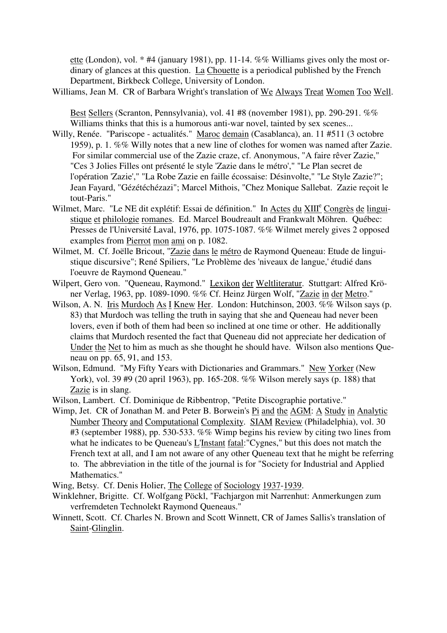ette (London), vol. \* #4 (january 1981), pp. 11-14. %% Williams gives only the most ordinary of glances at this question. La Chouette is a periodical published by the French Department, Birkbeck College, University of London.

Williams, Jean M. CR of Barbara Wright's translation of We Always Treat Women Too Well.

Best Sellers (Scranton, Pennsylvania), vol. 41 #8 (november 1981), pp. 290-291. %% Williams thinks that this is a humorous anti-war novel, tainted by sex scenes...

- Willy, Renée. "Pariscope actualités." Maroc demain (Casablanca), an. 11 #511 (3 octobre 1959), p. 1. %% Willy notes that a new line of clothes for women was named after Zazie. For similar commercial use of the Zazie craze, cf. Anonymous, "A faire rêver Zazie," "Ces 3 Jolies Filles ont présenté le style 'Zazie dans le métro'," "Le Plan secret de l'opération 'Zazie'," "La Robe Zazie en faille écossaise: Désinvolte," "Le Style Zazie?"; Jean Fayard, "Gézétéchézazi"; Marcel Mithois, "Chez Monique Sallebat. Zazie reçoit le tout-Paris."
- Wilmet, Marc. "Le NE dit explétif: Essai de définition." In Actes du XIII<sup>e</sup> Congrès de linguistique et philologie romanes. Ed. Marcel Boudreault and Frankwalt Möhren. Québec: Presses de l'Université Laval, 1976, pp. 1075-1087. %% Wilmet merely gives 2 opposed examples from Pierrot mon ami on p. 1082.
- Wilmet, M. Cf. Joëlle Bricout, "Zazie dans le métro de Raymond Queneau: Etude de linguistique discursive"; René Spiliers, "Le Problème des 'niveaux de langue,' étudié dans l'oeuvre de Raymond Queneau."
- Wilpert, Gero von. "Queneau, Raymond." Lexikon der Weltliteratur. Stuttgart: Alfred Kröner Verlag, 1963, pp. 1089-1090. %% Cf. Heinz Jürgen Wolf, "Zazie in der Metro."
- Wilson, A. N. Iris Murdoch As I Knew Her. London: Hutchinson, 2003. %% Wilson says (p. 83) that Murdoch was telling the truth in saying that she and Queneau had never been lovers, even if both of them had been so inclined at one time or other. He additionally claims that Murdoch resented the fact that Queneau did not appreciate her dedication of Under the Net to him as much as she thought he should have. Wilson also mentions Queneau on pp. 65, 91, and 153.
- Wilson, Edmund. "My Fifty Years with Dictionaries and Grammars." New Yorker (New York), vol. 39 #9 (20 april 1963), pp. 165-208. %% Wilson merely says (p. 188) that Zazie is in slang.
- Wilson, Lambert. Cf. Dominique de Ribbentrop, "Petite Discographie portative."
- Wimp, Jet. CR of Jonathan M. and Peter B. Borwein's Pi and the AGM: A Study in Analytic Number Theory and Computational Complexity. SIAM Review (Philadelphia), vol. 30 #3 (september 1988), pp. 530-533. %% Wimp begins his review by citing two lines from what he indicates to be Queneau's L'Instant fatal:"Cygnes," but this does not match the French text at all, and I am not aware of any other Queneau text that he might be referring to. The abbreviation in the title of the journal is for "Society for Industrial and Applied Mathematics."
- Wing, Betsy. Cf. Denis Holier, The College of Sociology 1937-1939.
- Winklehner, Brigitte. Cf. Wolfgang Pöckl, "Fachjargon mit Narrenhut: Anmerkungen zum verfremdeten Technolekt Raymond Queneaus."
- Winnett, Scott. Cf. Charles N. Brown and Scott Winnett, CR of James Sallis's translation of Saint-Glinglin.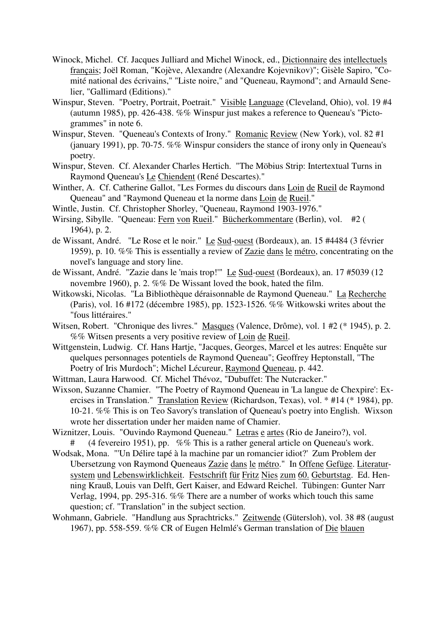- Winock, Michel. Cf. Jacques Julliard and Michel Winock, ed., Dictionnaire des intellectuels français; Joël Roman, "Kojève, Alexandre (Alexandre Kojevnikov)"; Gisèle Sapiro, "Comité national des écrivains," "Liste noire," and "Queneau, Raymond"; and Arnauld Senelier, "Gallimard (Editions)."
- Winspur, Steven. "Poetry, Portrait, Poetrait." Visible Language (Cleveland, Ohio), vol. 19 #4 (autumn 1985), pp. 426-438. %% Winspur just makes a reference to Queneau's "Pictogrammes" in note 6.
- Winspur, Steven. "Queneau's Contexts of Irony." Romanic Review (New York), vol. 82 #1 (january 1991), pp. 70-75. %% Winspur considers the stance of irony only in Queneau's poetry.
- Winspur, Steven. Cf. Alexander Charles Hertich. "The Möbius Strip: Intertextual Turns in Raymond Queneau's Le Chiendent (René Descartes)."
- Winther, A. Cf. Catherine Gallot, "Les Formes du discours dans Loin de Rueil de Raymond Queneau" and "Raymond Queneau et la norme dans Loin de Rueil."
- Wintle, Justin. Cf. Christopher Shorley, "Queneau, Raymond 1903-1976."
- Wirsing, Sibylle. "Queneau: Fern von Rueil." Bücherkommentare (Berlin), vol. #2 ( 1964), p. 2.
- de Wissant, André. "Le Rose et le noir." Le Sud-ouest (Bordeaux), an. 15 #4484 (3 février 1959), p. 10. %% This is essentially a review of Zazie dans le métro, concentrating on the novel's language and story line.
- de Wissant, André. "Zazie dans le 'mais trop!" Le Sud-ouest (Bordeaux), an. 17 #5039 (12 novembre 1960), p. 2. %% De Wissant loved the book, hated the film.
- Witkowski, Nicolas. "La Bibliothèque déraisonnable de Raymond Queneau." La Recherche (Paris), vol. 16 #172 (décembre 1985), pp. 1523-1526. %% Witkowski writes about the "fous littéraires."
- Witsen, Robert. "Chronique des livres." Masques (Valence, Drôme), vol. 1 #2 (\* 1945), p. 2. %% Witsen presents a very positive review of Loin de Rueil.
- Wittgenstein, Ludwig. Cf. Hans Hartje, "Jacques, Georges, Marcel et les autres: Enquête sur quelques personnages potentiels de Raymond Queneau"; Geoffrey Heptonstall, "The Poetry of Iris Murdoch"; Michel Lécureur, Raymond Queneau, p. 442.
- Wittman, Laura Harwood. Cf. Michel Thévoz, "Dubuffet: The Nutcracker."
- Wixson, Suzanne Chamier. "The Poetry of Raymond Queneau in 'La langue de Chexpire': Exercises in Translation." Translation Review (Richardson, Texas), vol. \* #14 (\* 1984), pp. 10-21. %% This is on Teo Savory's translation of Queneau's poetry into English. Wixson wrote her dissertation under her maiden name of Chamier.
- Wiznitzer, Louis. "Ouvindo Raymond Queneau." Letras e artes (Rio de Janeiro?), vol. # (4 fevereiro 1951), pp. %% This is a rather general article on Queneau's work.
- Wodsak, Mona. "'Un Délire tapé à la machine par un romancier idiot?' Zum Problem der Ubersetzung von Raymond Queneaus Zazie dans le métro." In Offene Gefüge. Literatursystem und Lebenswirklichkeit. Festschrift für Fritz Nies zum 60. Geburtstag. Ed. Henning Krauß, Louis van Delft, Gert Kaiser, and Edward Reichel. Tübingen: Gunter Narr Verlag, 1994, pp. 295-316. %% There are a number of works which touch this same question; cf. "Translation" in the subject section.
- Wohmann, Gabriele. "Handlung aus Sprachtricks." Zeitwende (Gütersloh), vol. 38 #8 (august 1967), pp. 558-559. %% CR of Eugen Helmlé's German translation of Die blauen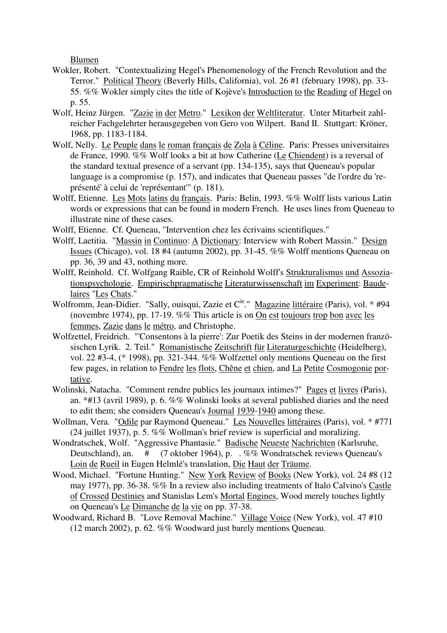Blumen

- Wokler, Robert. "Contextualizing Hegel's Phenomenology of the French Revolution and the Terror." Political Theory (Beverly Hills, California), vol. 26 #1 (february 1998), pp. 33- 55. %% Wokler simply cites the title of Kojève's Introduction to the Reading of Hegel on p. 55.
- Wolf, Heinz Jürgen. "Zazie in der Metro." Lexikon der Weltliteratur. Unter Mitarbeit zahlreicher Fachgelehrter herausgegeben von Gero von Wilpert. Band II. Stuttgart: Kröner, 1968, pp. 1183-1184.
- Wolf, Nelly. Le Peuple dans le roman français de Zola à Céline. Paris: Presses universitaires de France, 1990. %% Wolf looks a bit at how Catherine (Le Chiendent) is a reversal of the standard textual presence of a servant (pp. 134-135), says that Queneau's popular language is a compromise (p. 157), and indicates that Queneau passes "de l'ordre du 'représenté' à celui de 'représentant'" (p. 181).
- Wolff, Etienne. Les Mots latins du français. Paris: Belin, 1993. %% Wolff lists various Latin words or expressions that can be found in modern French. He uses lines from Queneau to illustrate nine of these cases.
- Wolff, Etienne. Cf. Queneau, "Intervention chez les écrivains scientifiques."
- Wolff, Laetitia. "Massin in Continuo: A Dictionary: Interview with Robert Massin." Design Issues (Chicago), vol. 18 #4 (autumn 2002), pp. 31-45. %% Wolff mentions Queneau on pp. 36, 39 and 43, nothing more.
- Wolff, Reinhold. Cf. Wolfgang Raible, CR of Reinhold Wolff's Strukturalismus und Assoziationspsychologie. Empirischpragmatische Literaturwissenschaft im Experiment: Baudelaires "Les Chats."
- Wolfromm, Jean-Didier. "Sally, ouisqui, Zazie et C<sup>ie.</sup>" Magazine littéraire (Paris), vol. \* #94 (novembre 1974), pp. 17-19. %% This article is on On est toujours trop bon avec les femmes, Zazie dans le métro, and Christophe.
- Wolfzettel, Freidrich. "'Consentons à la pierre': Zur Poetik des Steins in der modernen französischen Lyrik. 2. Teil." Romanistische Zeitschrift für Literaturgeschichte (Heidelberg), vol. 22 #3-4, (\* 1998), pp. 321-344. %% Wolfzettel only mentions Queneau on the first few pages, in relation to Fendre les flots, Chêne et chien, and La Petite Cosmogonie portative.
- Wolinski, Natacha. "Comment rendre publics les journaux intimes?" Pages et livres (Paris), an. \*#13 (avril 1989), p. 6. %% Wolinski looks at several published diaries and the need to edit them; she considers Queneau's Journal 1939-1940 among these.
- Wollman, Vera. "Odile par Raymond Queneau." Les Nouvelles littéraires (Paris), vol. \* #771 (24 juillet 1937), p. 5. %% Wollman's brief review is superficial and moralizing.
- Wondratschek, Wolf. "Aggressive Phantasie." Badische Neueste Nachrichten (Karlsruhe, Deutschland), an. # (7 oktober 1964), p. . %% Wondratschek reviews Queneau's Loin de Rueil in Eugen Helmlé's translation, Die Haut der Träume.
- Wood, Michael. "Fortune Hunting." New York Review of Books (New York), vol. 24 #8 (12 may 1977), pp. 36-38. %% In a review also including treatments of Italo Calvino's Castle of Crossed Destinies and Stanislas Lem's Mortal Engines, Wood merely touches lightly on Queneau's Le Dimanche de la vie on pp. 37-38.
- Woodward, Richard B. "Love Removal Machine." Village Voice (New York), vol. 47 #10 (12 march 2002), p. 62. %% Woodward just barely mentions Queneau.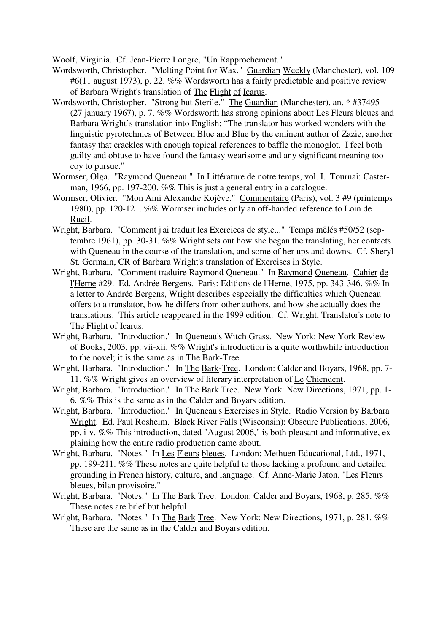Woolf, Virginia. Cf. Jean-Pierre Longre, "Un Rapprochement."

- Wordsworth, Christopher. "Melting Point for Wax." Guardian Weekly (Manchester), vol. 109 #6(11 august 1973), p. 22. %% Wordsworth has a fairly predictable and positive review of Barbara Wright's translation of The Flight of Icarus.
- Wordsworth, Christopher. "Strong but Sterile." The Guardian (Manchester), an. \* #37495 (27 january 1967), p. 7. %% Wordsworth has strong opinions about Les Fleurs bleues and Barbara Wright's translation into English: "The translator has worked wonders with the linguistic pyrotechnics of Between Blue and Blue by the eminent author of Zazie, another fantasy that crackles with enough topical references to baffle the monoglot. I feel both guilty and obtuse to have found the fantasy wearisome and any significant meaning too coy to pursue."
- Wormser, Olga. "Raymond Queneau." In Littérature de notre temps, vol. I. Tournai: Casterman, 1966, pp. 197-200. %% This is just a general entry in a catalogue.
- Wormser, Olivier. "Mon Ami Alexandre Kojève." Commentaire (Paris), vol. 3 #9 (printemps 1980), pp. 120-121. %% Wormser includes only an off-handed reference to Loin de Rueil.
- Wright, Barbara. "Comment j'ai traduit les Exercices de style..." Temps mêlés #50/52 (septembre 1961), pp. 30-31. %% Wright sets out how she began the translating, her contacts with Queneau in the course of the translation, and some of her ups and downs. Cf. Sheryl St. Germain, CR of Barbara Wright's translation of Exercises in Style.
- Wright, Barbara. "Comment traduire Raymond Queneau." In Raymond Queneau. Cahier de l'Herne #29. Ed. Andrée Bergens. Paris: Editions de l'Herne, 1975, pp. 343-346. %% In a letter to Andrée Bergens, Wright describes especially the difficulties which Queneau offers to a translator, how he differs from other authors, and how she actually does the translations. This article reappeared in the 1999 edition. Cf. Wright, Translator's note to The Flight of Icarus.
- Wright, Barbara. "Introduction." In Queneau's Witch Grass. New York: New York Review of Books, 2003, pp. vii-xii. %% Wright's introduction is a quite worthwhile introduction to the novel; it is the same as in The Bark-Tree.
- Wright, Barbara. "Introduction." In The Bark-Tree. London: Calder and Boyars, 1968, pp. 7- 11. %% Wright gives an overview of literary interpretation of Le Chiendent.
- Wright, Barbara. "Introduction." In The Bark Tree. New York: New Directions, 1971, pp. 1- 6. %% This is the same as in the Calder and Boyars edition.
- Wright, Barbara. "Introduction." In Queneau's Exercises in Style. Radio Version by Barbara Wright. Ed. Paul Rosheim. Black River Falls (Wisconsin): Obscure Publications, 2006, pp. i-v. %% This introduction, dated "August 2006," is both pleasant and informative, explaining how the entire radio production came about.
- Wright, Barbara. "Notes." In Les Fleurs bleues. London: Methuen Educational, Ltd., 1971, pp. 199-211. %% These notes are quite helpful to those lacking a profound and detailed grounding in French history, culture, and language. Cf. Anne-Marie Jaton, "Les Fleurs bleues, bilan provisoire."
- Wright, Barbara. "Notes." In The Bark Tree. London: Calder and Boyars, 1968, p. 285. %% These notes are brief but helpful.
- Wright, Barbara. "Notes." In The Bark Tree. New York: New Directions, 1971, p. 281. %% These are the same as in the Calder and Boyars edition.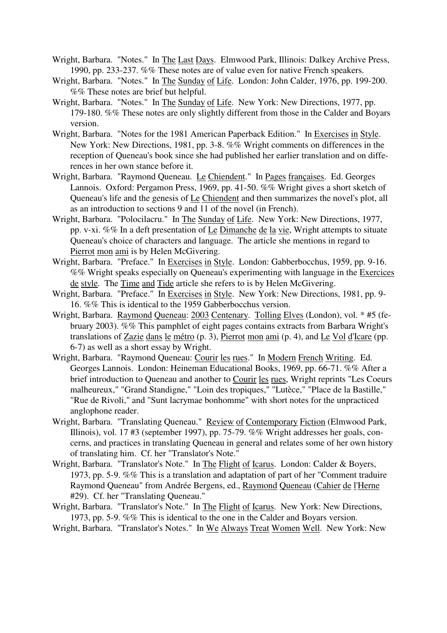- Wright, Barbara. "Notes." In The Last Days. Elmwood Park, Illinois: Dalkey Archive Press, 1990, pp. 233-237. %% These notes are of value even for native French speakers.
- Wright, Barbara. "Notes." In The Sunday of Life. London: John Calder, 1976, pp. 199-200. %% These notes are brief but helpful.
- Wright, Barbara. "Notes." In The Sunday of Life. New York: New Directions, 1977, pp. 179-180. %% These notes are only slightly different from those in the Calder and Boyars version.
- Wright, Barbara. "Notes for the 1981 American Paperback Edition." In Exercises in Style. New York: New Directions, 1981, pp. 3-8. %% Wright comments on differences in the reception of Queneau's book since she had published her earlier translation and on differences in her own stance before it.
- Wright, Barbara. "Raymond Queneau. Le Chiendent." In Pages françaises. Ed. Georges Lannois. Oxford: Pergamon Press, 1969, pp. 41-50. %% Wright gives a short sketch of Queneau's life and the genesis of Le Chiendent and then summarizes the novel's plot, all as an introduction to sections 9 and 11 of the novel (in French).
- Wright, Barbara. "Polocilacru." In The Sunday of Life. New York: New Directions, 1977, pp. v-xi. %% In a deft presentation of Le Dimanche de la vie, Wright attempts to situate Queneau's choice of characters and language. The article she mentions in regard to Pierrot mon ami is by Helen McGivering.
- Wright, Barbara. "Preface." In Exercises in Style. London: Gabberbocchus, 1959, pp. 9-16. %% Wright speaks especially on Queneau's experimenting with language in the Exercices de style. The Time and Tide article she refers to is by Helen McGivering.
- Wright, Barbara. "Preface." In Exercises in Style. New York: New Directions, 1981, pp. 9- 16. %% This is identical to the 1959 Gabberbocchus version.
- Wright, Barbara. Raymond Queneau: 2003 Centenary. Tolling Elves (London), vol. \* #5 (february 2003). %% This pamphlet of eight pages contains extracts from Barbara Wright's translations of Zazie dans le métro (p. 3), Pierrot mon ami (p. 4), and Le Vol d'Icare (pp. 6-7) as well as a short essay by Wright.
- Wright, Barbara. "Raymond Queneau: Courir les rues." In Modern French Writing. Ed. Georges Lannois. London: Heineman Educational Books, 1969, pp. 66-71. %% After a brief introduction to Queneau and another to Courir les rues, Wright reprints "Les Coeurs malheureux," "Grand Standigne," "Loin des tropiques," "Lutèce," "Place de la Bastille," "Rue de Rivoli," and "Sunt lacrymae bonhomme" with short notes for the unpracticed anglophone reader.
- Wright, Barbara. "Translating Queneau." Review of Contemporary Fiction (Elmwood Park, Illinois), vol. 17 #3 (september 1997), pp. 75-79. %% Wright addresses her goals, concerns, and practices in translating Queneau in general and relates some of her own history of translating him. Cf. her "Translator's Note."
- Wright, Barbara. "Translator's Note." In The Flight of Icarus. London: Calder & Boyers, 1973, pp. 5-9. %% This is a translation and adaptation of part of her "Comment traduire Raymond Queneau" from Andrée Bergens, ed., Raymond Queneau (Cahier de l'Herne #29). Cf. her "Translating Queneau."
- Wright, Barbara. "Translator's Note." In The Flight of Icarus. New York: New Directions, 1973, pp. 5-9. %% This is identical to the one in the Calder and Boyars version.
- Wright, Barbara. "Translator's Notes." In We Always Treat Women Well. New York: New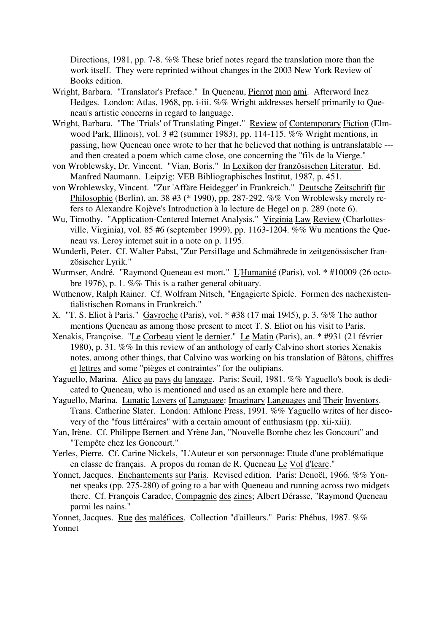Directions, 1981, pp. 7-8. %% These brief notes regard the translation more than the work itself. They were reprinted without changes in the 2003 New York Review of Books edition.

- Wright, Barbara. "Translator's Preface." In Queneau, Pierrot mon ami. Afterword Inez Hedges. London: Atlas, 1968, pp. i-iii. %% Wright addresses herself primarily to Queneau's artistic concerns in regard to language.
- Wright, Barbara. "The 'Trials' of Translating Pinget." Review of Contemporary Fiction (Elmwood Park, Illinois), vol. 3 #2 (summer 1983), pp. 114-115. %% Wright mentions, in passing, how Queneau once wrote to her that he believed that nothing is untranslatable -- and then created a poem which came close, one concerning the "fils de la Vierge."
- von Wroblewsky, Dr. Vincent. "Vian, Boris." In Lexikon der französischen Literatur. Ed. Manfred Naumann. Leipzig: VEB Bibliographisches Institut, 1987, p. 451.
- von Wroblewsky, Vincent. "Zur 'Affäre Heidegger' in Frankreich." Deutsche Zeitschrift für Philosophie (Berlin), an. 38 #3 (\* 1990), pp. 287-292. %% Von Wroblewsky merely refers to Alexandre Kojève's Introduction à la lecture de Hegel on p. 289 (note 6).
- Wu, Timothy. "Application-Centered Internet Analysis." Virginia Law Review (Charlottesville, Virginia), vol. 85 #6 (september 1999), pp. 1163-1204. %% Wu mentions the Queneau vs. Leroy internet suit in a note on p. 1195.
- Wunderli, Peter. Cf. Walter Pabst, "Zur Persiflage und Schmährede in zeitgenössischer französischer Lyrik."
- Wurmser, André. "Raymond Queneau est mort." L'Humanité (Paris), vol. \* #10009 (26 octobre 1976), p. 1. %% This is a rather general obituary.
- Wuthenow, Ralph Rainer. Cf. Wolfram Nitsch, "Engagierte Spiele. Formen des nachexistentialistischen Romans in Frankreich."
- X. "T. S. Eliot à Paris." Gavroche (Paris), vol. \* #38 (17 mai 1945), p. 3. %% The author mentions Queneau as among those present to meet T. S. Eliot on his visit to Paris.
- Xenakis, Françoise. "Le Corbeau vient le dernier." Le Matin (Paris), an. \* #931 (21 février 1980), p. 31. %% In this review of an anthology of early Calvino short stories Xenakis notes, among other things, that Calvino was working on his translation of Bâtons, chiffres et lettres and some "pièges et contraintes" for the oulipians.
- Yaguello, Marina. Alice au pays du langage. Paris: Seuil, 1981. %% Yaguello's book is dedicated to Queneau, who is mentioned and used as an example here and there.
- Yaguello, Marina. Lunatic Lovers of Language: Imaginary Languages and Their Inventors. Trans. Catherine Slater. London: Athlone Press, 1991. %% Yaguello writes of her discovery of the "fous littéraires" with a certain amount of enthusiasm (pp. xii-xiii).
- Yan, Irène. Cf. Philippe Bernert and Yrène Jan, "Nouvelle Bombe chez les Goncourt" and "Tempête chez les Goncourt."
- Yerles, Pierre. Cf. Carine Nickels, "L'Auteur et son personnage: Etude d'une problématique en classe de français. A propos du roman de R. Queneau Le Vol d'Icare."
- Yonnet, Jacques. Enchantements sur Paris. Revised edition. Paris: Denoël, 1966. %% Yonnet speaks (pp. 275-280) of going to a bar with Queneau and running across two midgets there. Cf. François Caradec, Compagnie des zincs; Albert Dérasse, "Raymond Queneau parmi les nains."

Yonnet, Jacques. Rue des maléfices. Collection "d'ailleurs." Paris: Phébus, 1987. %% Yonnet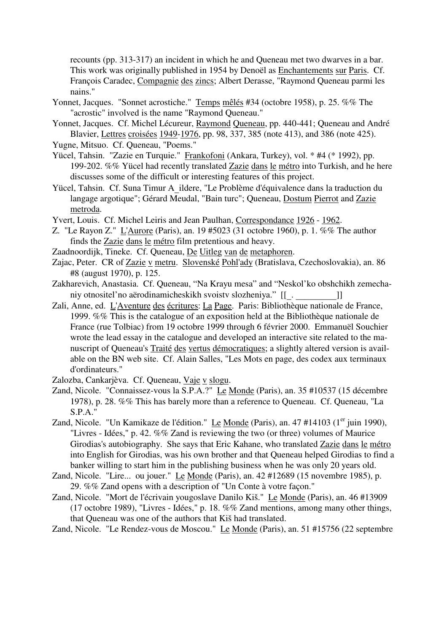recounts (pp. 313-317) an incident in which he and Queneau met two dwarves in a bar. This work was originally published in 1954 by Denoël as Enchantements sur Paris. Cf. François Caradec, Compagnie des zincs; Albert Derasse, "Raymond Queneau parmi les nains."

- Yonnet, Jacques. "Sonnet acrostiche." Temps mêlés #34 (octobre 1958), p. 25. %% The "acrostic" involved is the name "Raymond Queneau."
- Yonnet, Jacques. Cf. Michel Lécureur, Raymond Queneau, pp. 440-441; Queneau and André Blavier, Lettres croisées 1949-1976, pp. 98, 337, 385 (note 413), and 386 (note 425).
- Yugne, Mitsuo. Cf. Queneau, "Poems."
- Yücel, Tahsin. "Zazie en Turquie." Frankofoni (Ankara, Turkey), vol. \* #4 (\* 1992), pp. 199-202. %% Yücel had recently translated Zazie dans le métro into Turkish, and he here discusses some of the difficult or interesting features of this project.
- Yücel, Tahsin. Cf. Suna Timur A\_ildere, "Le Problème d'équivalence dans la traduction du langage argotique"; Gérard Meudal, "Bain turc"; Queneau, Dostum Pierrot and Zazie metroda.
- Yvert, Louis. Cf. Michel Leiris and Jean Paulhan, Correspondance 1926 1962.
- Z. "Le Rayon Z." L'Aurore (Paris), an. 19 #5023 (31 octobre 1960), p. 1. %% The author finds the Zazie dans le métro film pretentious and heavy.
- Zaadnoordijk, Tineke. Cf. Queneau, De Uitleg van de metaphoren.
- Zajac, Peter. CR of Zazie v metru. Slovenské Pohl'ady (Bratislava, Czechoslovakia), an. 86 #8 (august 1970), p. 125.
- Zakharevich, Anastasia. Cf. Queneau, "Na Krayu mesa" and "Neskol'ko obshchikh zemecha-
- niy otnositel'no aërodinamicheskikh svoistv slozheniya." [[\_. \_\_\_\_\_\_\_\_]]<br>Zali, Anne, ed. <u>L'Aventure des écritures</u>: La Page. Paris: Bibliothèque nationale de France, 1999. %% This is the catalogue of an exposition held at the Bibliothèque nationale de France (rue Tolbiac) from 19 octobre 1999 through 6 février 2000. Emmanuël Souchier wrote the lead essay in the catalogue and developed an interactive site related to the manuscript of Queneau's Traité des vertus démocratiques; a slightly altered version is available on the BN web site. Cf. Alain Salles, "Les Mots en page, des codex aux terminaux d'ordinateurs."
- Zalozba, Cankarjèva. Cf. Queneau, Vaje v slogu.
- Zand, Nicole. "Connaissez-vous la S.P.A.?" Le Monde (Paris), an. 35 #10537 (15 décembre 1978), p. 28. %% This has barely more than a reference to Queneau. Cf. Queneau, "La S.P.A."
- Zand, Nicole. "Un Kamikaze de l'édition." Le Monde (Paris), an. 47 #14103 (1<sup>er</sup> juin 1990), "Livres - Idées," p. 42. %% Zand is reviewing the two (or three) volumes of Maurice Girodias's autobiography. She says that Eric Kahane, who translated Zazie dans le métro into English for Girodias, was his own brother and that Queneau helped Girodias to find a banker willing to start him in the publishing business when he was only 20 years old.
- Zand, Nicole. "Lire... ou jouer." Le Monde (Paris), an. 42 #12689 (15 novembre 1985), p. 29. %% Zand opens with a description of "Un Conte à votre façon."
- Zand, Nicole. "Mort de l'écrivain yougoslave Danilo Kiš." Le Monde (Paris), an. 46 #13909 (17 octobre 1989), "Livres - Idées," p. 18. %% Zand mentions, among many other things, that Queneau was one of the authors that Kiš had translated.
- Zand, Nicole. "Le Rendez-vous de Moscou." Le Monde (Paris), an. 51 #15756 (22 septembre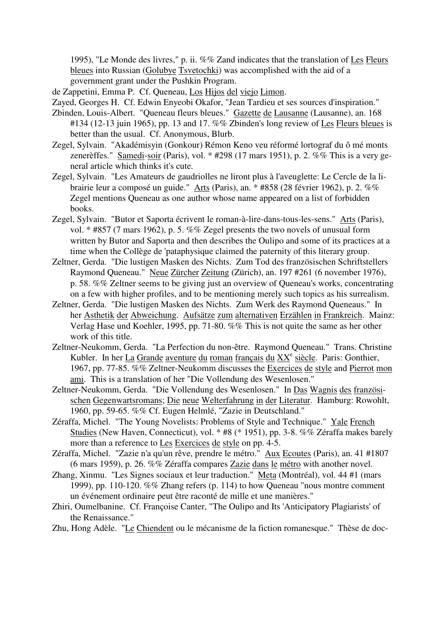1995), "Le Monde des livres," p. ii. %% Zand indicates that the translation of Les Fleurs bleues into Russian (Golubye Tsvetochki) was accomplished with the aid of a government grant under the Pushkin Program.

de Zappetini, Emma P. Cf. Queneau, Los Hijos del viejo Limon.

Zayed, Georges H. Cf. Edwin Enyeobi Okafor, "Jean Tardieu et ses sources d'inspiration."

- Zbinden, Louis-Albert. "Queneau fleurs bleues." Gazette de Lausanne (Lausanne), an. 168 #134 (12-13 juin 1965), pp. 13 and 17. %% Zbinden's long review of Les Fleurs bleues is better than the usual. Cf. Anonymous, Blurb.
- Zegel, Sylvain. "Akadémisyin (Gonkour) Rémon Keno veu réformé lortograf du ô mé monts zenerèffes." Samedi-soir (Paris), vol. \* #298 (17 mars 1951), p. 2. %% This is a very general article which thinks it's cute.
- Zegel, Sylvain. "Les Amateurs de gaudriolles ne liront plus à l'aveuglette: Le Cercle de la librairie leur a composé un guide." Arts (Paris), an. \* #858 (28 février 1962), p. 2. %% Zegel mentions Queneau as one author whose name appeared on a list of forbidden books.
- Zegel, Sylvain. "Butor et Saporta écrivent le roman-à-lire-dans-tous-les-sens." Arts (Paris), vol. \* #857 (7 mars 1962), p. 5. %% Zegel presents the two novels of unusual form written by Butor and Saporta and then describes the Oulipo and some of its practices at a time when the Collège de 'pataphysique claimed the paternity of this literary group.
- Zeltner, Gerda. "Die lustigen Masken des Nichts. Zum Tod des französischen Schriftstellers Raymond Queneau." Neue Zürcher Zeitung (Zürich), an. 197 #261 (6 november 1976), p. 58. %% Zeltner seems to be giving just an overview of Queneau's works, concentrating on a few with higher profiles, and to be mentioning merely such topics as his surrealism.
- Zeltner, Gerda. "Die lustigen Masken des Nichts. Zum Werk des Raymond Queneaus." In her Asthetik der Abweichung. Aufsätze zum alternativen Erzählen in Frankreich. Mainz: Verlag Hase und Koehler, 1995, pp. 71-80. %% This is not quite the same as her other work of this title.
- Zeltner-Neukomm, Gerda. "La Perfection du non-être. Raymond Queneau." Trans. Christine Kubler. In her La Grande aventure du roman français du XX<sup>e</sup> siècle. Paris: Gonthier, 1967, pp. 77-85. %% Zeltner-Neukomm discusses the Exercices de style and Pierrot mon ami. This is a translation of her "Die Vollendung des Wesenlosen."
- Zeltner-Neukomm, Gerda. "Die Vollendung des Wesenlosen." In Das Wagnis des französischen Gegenwartsromans; Die neue Welterfahrung in der Literatur. Hamburg: Rowohlt, 1960, pp. 59-65. %% Cf. Eugen Helmlé, "Zazie in Deutschland."
- Zéraffa, Michel. "The Young Novelists: Problems of Style and Technique." Yale French Studies (New Haven, Connecticut), vol. \* #8 (\* 1951), pp. 3-8. %% Zéraffa makes barely more than a reference to Les Exercices de style on pp. 4-5.
- Zéraffa, Michel. "Zazie n'a qu'un rêve, prendre le métro." Aux Ecoutes (Paris), an. 41 #1807 (6 mars 1959), p. 26. %% Zéraffa compares Zazie dans le métro with another novel.
- Zhang, Xinmu. "Les Signes sociaux et leur traduction." Meta (Montréal), vol. 44 #1 (mars 1999), pp. 110-120. %% Zhang refers (p. 114) to how Queneau "nous montre comment un événement ordinaire peut être raconté de mille et une manières."
- Zhiri, Oumelbanine. Cf. Françoise Canter, "The Oulipo and Its 'Anticipatory Plagiarists' of the Renaissance."

Zhu, Hong Adèle. "Le Chiendent ou le mécanisme de la fiction romanesque." Thèse de doc-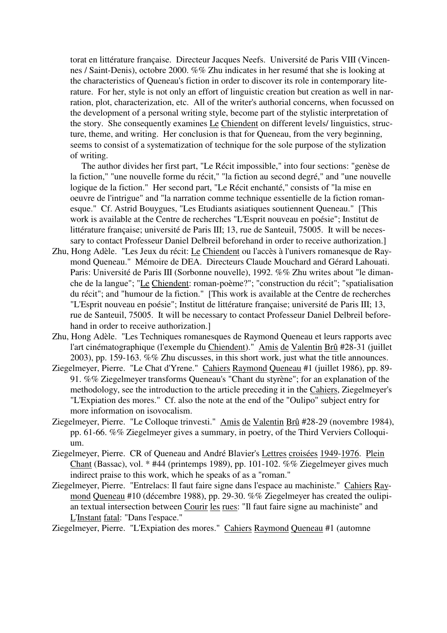torat en littérature française. Directeur Jacques Neefs. Université de Paris VIII (Vincennes / Saint-Denis), octobre 2000. %% Zhu indicates in her resumé that she is looking at the characteristics of Queneau's fiction in order to discover its role in contemporary literature. For her, style is not only an effort of linguistic creation but creation as well in narration, plot, characterization, etc. All of the writer's authorial concerns, when focussed on the development of a personal writing style, become part of the stylistic interpretation of the story. She consequently examines Le Chiendent on different levels/ linguistics, structure, theme, and writing. Her conclusion is that for Queneau, from the very beginning, seems to consist of a systematization of technique for the sole purpose of the stylization of writing.

 The author divides her first part, "Le Récit impossible," into four sections: "genèse de la fiction," "une nouvelle forme du récit," "la fiction au second degré," and "une nouvelle logique de la fiction." Her second part, "Le Récit enchanté," consists of "la mise en oeuvre de l'intrigue" and "la narration comme technique essentielle de la fiction romanesque." Cf. Astrid Bouygues, "Les Etudiants asiatiques soutiennent Queneau." [This work is available at the Centre de recherches "L'Esprit nouveau en poésie"; Institut de littérature française; université de Paris III; 13, rue de Santeuil, 75005. It will be necessary to contact Professeur Daniel Delbreil beforehand in order to receive authorization.]

- Zhu, Hong Adèle. "Les Jeux du récit: Le Chiendent ou l'accès à l'univers romanesque de Raymond Queneau." Mémoire de DEA. Directeurs Claude Mouchard and Gérard Lahouati. Paris: Université de Paris III (Sorbonne nouvelle), 1992. %% Zhu writes about "le dimanche de la langue"; "Le Chiendent: roman-poème?"; "construction du récit"; "spatialisation du récit"; and "humour de la fiction." [This work is available at the Centre de recherches "L'Esprit nouveau en poésie"; Institut de littérature française; université de Paris III; 13, rue de Santeuil, 75005. It will be necessary to contact Professeur Daniel Delbreil beforehand in order to receive authorization.]
- Zhu, Hong Adèle. "Les Techniques romanesques de Raymond Queneau et leurs rapports avec l'art cinématographique (l'exemple du Chiendent)." Amis de Valentin Brû #28-31 (juillet 2003), pp. 159-163. %% Zhu discusses, in this short work, just what the title announces.
- Ziegelmeyer, Pierre. "Le Chat d'Yrene." Cahiers Raymond Queneau #1 (juillet 1986), pp. 89- 91. %% Ziegelmeyer transforms Queneau's "Chant du styrène"; for an explanation of the methodology, see the introduction to the article preceding it in the Cahiers, Ziegelmeyer's "L'Expiation des mores." Cf. also the note at the end of the "Oulipo" subject entry for more information on isovocalism.
- Ziegelmeyer, Pierre. "Le Colloque trinvesti." Amis de Valentin Brû #28-29 (novembre 1984), pp. 61-66. %% Ziegelmeyer gives a summary, in poetry, of the Third Verviers Colloquium.
- Ziegelmeyer, Pierre. CR of Queneau and André Blavier's Lettres croisées 1949-1976. Plein Chant (Bassac), vol. \* #44 (printemps 1989), pp. 101-102. %% Ziegelmeyer gives much indirect praise to this work, which he speaks of as a "roman."
- Ziegelmeyer, Pierre. "Entrelacs: Il faut faire signe dans l'espace au machiniste." Cahiers Raymond Queneau #10 (décembre 1988), pp. 29-30. %% Ziegelmeyer has created the oulipian textual intersection between Courir les rues: "Il faut faire signe au machiniste" and L'Instant fatal: "Dans l'espace."

Ziegelmeyer, Pierre. "L'Expiation des mores." Cahiers Raymond Queneau #1 (automne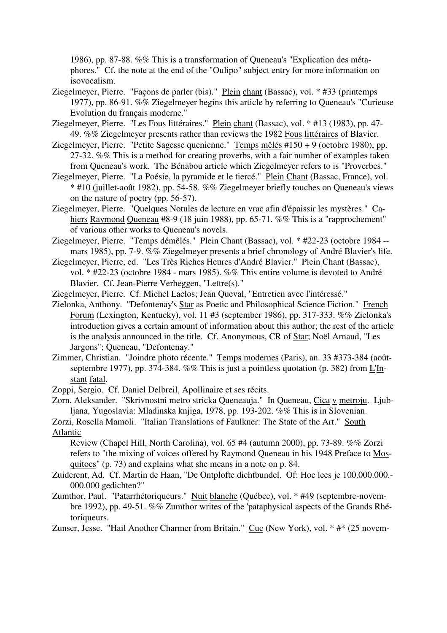1986), pp. 87-88. %% This is a transformation of Queneau's "Explication des métaphores." Cf. the note at the end of the "Oulipo" subject entry for more information on isovocalism.

- Ziegelmeyer, Pierre. "Façons de parler (bis)." Plein chant (Bassac), vol. \* #33 (printemps 1977), pp. 86-91. %% Ziegelmeyer begins this article by referring to Queneau's "Curieuse Evolution du français moderne."
- Ziegelmeyer, Pierre. "Les Fous littéraires." Plein chant (Bassac), vol. \* #13 (1983), pp. 47- 49. %% Ziegelmeyer presents rather than reviews the 1982 Fous littéraires of Blavier.
- Ziegelmeyer, Pierre. "Petite Sagesse quenienne." Temps mêlés #150 + 9 (octobre 1980), pp. 27-32. %% This is a method for creating proverbs, with a fair number of examples taken from Queneau's work. The Bénabou article which Ziegelmeyer refers to is "Proverbes."
- Ziegelmeyer, Pierre. "La Poésie, la pyramide et le tiercé." Plein Chant (Bassac, France), vol. \* #10 (juillet-août 1982), pp. 54-58. %% Ziegelmeyer briefly touches on Queneau's views on the nature of poetry (pp. 56-57).
- Ziegelmeyer, Pierre. "Quelques Notules de lecture en vrac afin d'épaissir les mystères." Cahiers Raymond Queneau #8-9 (18 juin 1988), pp. 65-71. %% This is a "rapprochement" of various other works to Queneau's novels.
- Ziegelmeyer, Pierre. "Temps démêlés." Plein Chant (Bassac), vol. \* #22-23 (octobre 1984 mars 1985), pp. 7-9. %% Ziegelmeyer presents a brief chronology of André Blavier's life.
- Ziegelmeyer, Pierre, ed. "Les Très Riches Heures d'André Blavier." Plein Chant (Bassac), vol. \* #22-23 (octobre 1984 - mars 1985). %% This entire volume is devoted to André Blavier. Cf. Jean-Pierre Verheggen, "Lettre(s)."
- Ziegelmeyer, Pierre. Cf. Michel Laclos; Jean Queval, "Entretien avec l'intéressé."
- Zielonka, Anthony. "Defontenay's Star as Poetic and Philosophical Science Fiction." French Forum (Lexington, Kentucky), vol. 11 #3 (september 1986), pp. 317-333. %% Zielonka's introduction gives a certain amount of information about this author; the rest of the article is the analysis announced in the title. Cf. Anonymous, CR of Star; Noël Arnaud, "Les Jargons"; Queneau, "Defontenay."
- Zimmer, Christian. "Joindre photo récente." Temps modernes (Paris), an. 33 #373-384 (aoûtseptembre 1977), pp. 374-384. %% This is just a pointless quotation (p. 382) from L'Instant fatal.
- Zoppi, Sergio. Cf. Daniel Delbreil, Apollinaire et ses récits.
- Zorn, Aleksander. "Skrivnostni metro stricka Queneauja." In Queneau, Cica v metroju. Ljubljana, Yugoslavia: Mladinska knjiga, 1978, pp. 193-202. %% This is in Slovenian.

Zorzi, Rosella Mamoli. "Italian Translations of Faulkner: The State of the Art." South Atlantic

Review (Chapel Hill, North Carolina), vol. 65 #4 (autumn 2000), pp. 73-89. %% Zorzi refers to "the mixing of voices offered by Raymond Queneau in his 1948 Preface to Mosquitoes" (p. 73) and explains what she means in a note on p. 84.

- Zuiderent, Ad. Cf. Martin de Haan, "De Ontplofte dichtbundel. Of: Hoe lees je 100.000.000.-000.000 gedichten?"
- Zumthor, Paul. "Patarrhétoriqueurs." Nuit blanche (Québec), vol. \* #49 (septembre-novembre 1992), pp. 49-51. %% Zumthor writes of the 'pataphysical aspects of the Grands Rhétoriqueurs.
- Zunser, Jesse. "Hail Another Charmer from Britain." Cue (New York), vol. \* #\* (25 novem-